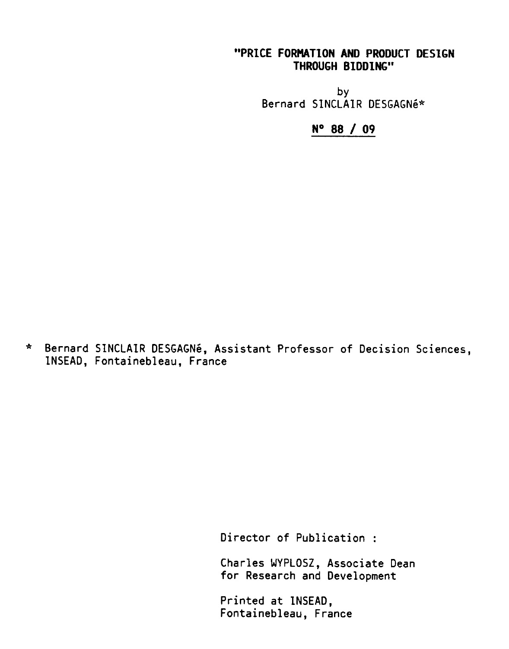# "PRICE FORMATION AND PRODUCT DESIGN THROUGH BIDDING"

by Bernard SINCLAIR DESGAGNe\*

N° 88 / 09

\* Bernard SINCLAIR DESGAGN6, Assistant Professor of Decision Sciences, INSEAD, Fontainebleau, France

Director of Publication :

Charles WYPLOSZ, Associate Dean for Research and Development

Printed at INSEAD, Fontainebleau, France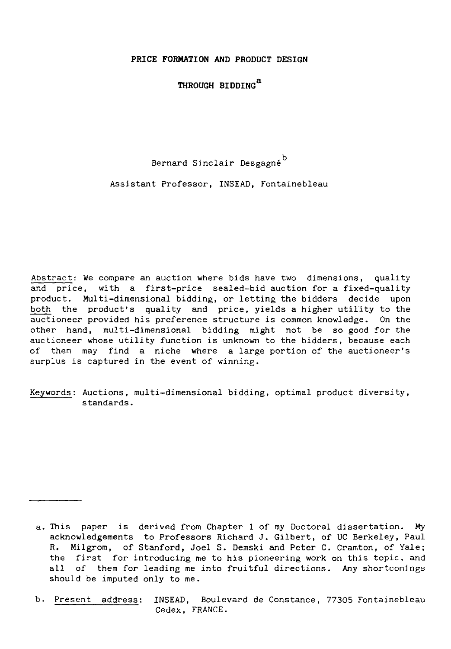**PRICE FORMATION AND PRODUCT DESIGN**

**THROUGH BIDDING** *<sup>a</sup>*

Bernard Sinclair Desgagné<sup>D</sup>

Assistant Professor, INSEAD, Fontainebleau

Abstract: We compare an auction where bids have two dimensions, quality and price, with a first-price sealed-bid auction for a fixed-quality product. Multi-dimensional bidding, or letting the bidders decide upon both the product's quality and price, yields a higher utility to the auctioneer provided his preference structure is common knowledge. On the other hand, multi-dimensional bidding might not be so good for the auctioneer whose utility function is unknown to the bidders, because each of them may find a niche where a large portion of the auctioneer's surplus is captured in the event of winning.

Keywords: Auctions, multi-dimensional bidding, optimal product diversity, standards.

a. This paper is derived from Chapter 1 of my Doctoral dissertation. My acknowledgements to Professors Richard J. Gilbert, of UC Berkeley, Paul R. Milgrom, of Stanford, Joel S. Demski and Peter C. Cramton, of Yale; the first for introducing me to his pioneering work on this topic, and all of them for leading me into fruitful directions. *Any* shortcomings should be imputed only to me.

b. Present address: INSEAD, Boulevard de Constance, 77305 Fontainebleau Cedex, FRANCE.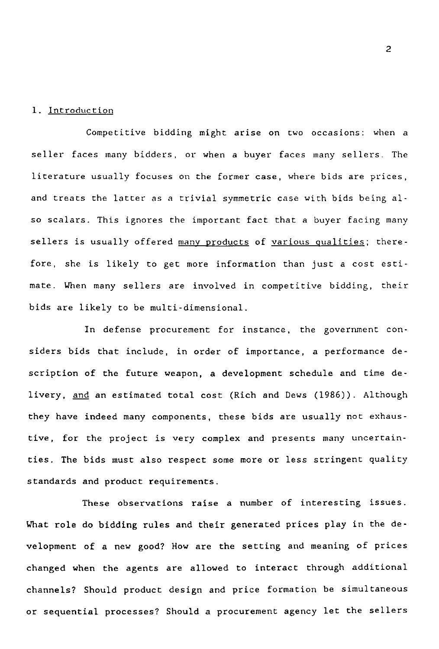#### 1. Introduction

Competitive bidding might arise on two occasions: when a seller faces many bidders, or when a buyer faces many sellers. The literature usually focuses on the former case, where bids are prices, and treats the latter as a trivial symmetric case with bids being also scalars. This ignores the important fact that a buyer facing many sellers is usually offered many products of various qualities; therefore, she is likely to get more information than just a cost estimate. When many sellers are involved in competitive bidding, their bids are likely to be multi-dimensional.

In defense procurement for instance, the government considers bids that include, in order of importance, a performance description of the future weapon, a development schedule and time delivery, and an estimated total cost (Rich and Dews (1986)). Although they have indeed many components, these bids are usually not exhaustive, for the project is very complex and presents many uncertainties. The bids must also respect some more or less stringent quality standards and product requirements.

These observations raise a number of interesting issues. What role do bidding rules and their generated prices play in the development of a new good? How are the setting and meaning of prices changed when the agents are allowed to interact through additional channels? Should product design and price formation be simultaneous or sequential processes? Should a procurement agency let the sellers

2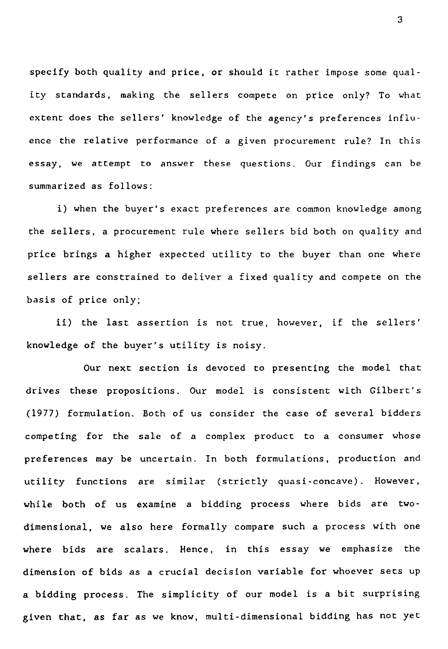specify both quality and price, or should it rather impose some quality standards, making the sellers compete on price only? To what extent does the sellers' knowledge of the agency's preferences influence the relative performance of a given procurement rule? In this essay, we attempt to answer these questions. Our findings can be summarized as follows:

i) when the buyer's exact preferences are common knowledge among the sellers, a procurement rule where sellers bid both on quality and price brings a higher expected utility to the buyer than one where sellers are constrained to deliver a fixed quality and compete on the basis of price only;

ii) the last assertion is not true, however, if the sellers' knowledge of the buyer's utility is noisy.

Our next section is devoted to presenting the model that drives these propositions. Our model is consistent with Gilbert's (1977) formulation. Both of us consider the case of several bidders competing for the sale of a complex product to a consumer whose preferences may be uncertain. In both formulations, production and utility functions are similar (strictly quasi-concave). However, while both of us examine a bidding process where bids are twodimensional, we also here formally compare such a process with one where bids are scalars. Hence, in this essay we emphasize the dimension of bids as a crucial decision variable for whoever sets up a bidding process. The simplicity of our model is a bit surprising given that, as far *as we* know, multi-dimensional bidding has not yet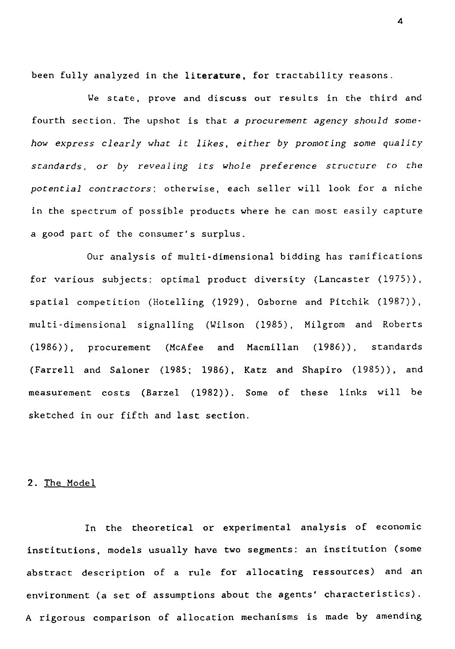been fully analyzed in the literature, for tractability reasons.

*We* state, prove and discuss our results in the third and fourth section. The upshot is that a *procurement agency should somehow express clearly what it likes, either by promoting some quality standards, or by revealing its whole preference structure to the potential contractors;* otherwise, each seller will look for a niche in the spectrum of possible products where he can most easily capture a good part of the consumer's surplus.

Our analysis of multi-dimensional bidding has ramifications for various subjects: optimal product diversity (Lancaster (1975)), spatial competition (Hotelling (1929), Osborne and Pitchik (1987)), multi-dimensional signalling (Wilson (1985), Milgrom and Roberts (1986)), procurement (McAfee and Macmillan (1986)), standards (Farrell and Saloner (1985; 1986), Katz and Shapiro (1985)), and measurement costs (Barzel (1982)). Some of these links will be sketched in our fifth and last section.

#### 2. The Model

In the theoretical or experimental analysis of economic institutions, models usually have two segments: an institution (some abstract description of a rule for allocating ressources) and an environment (a set of assumptions about the agents' characteristics). A rigorous comparison of allocation mechanisms is made by amending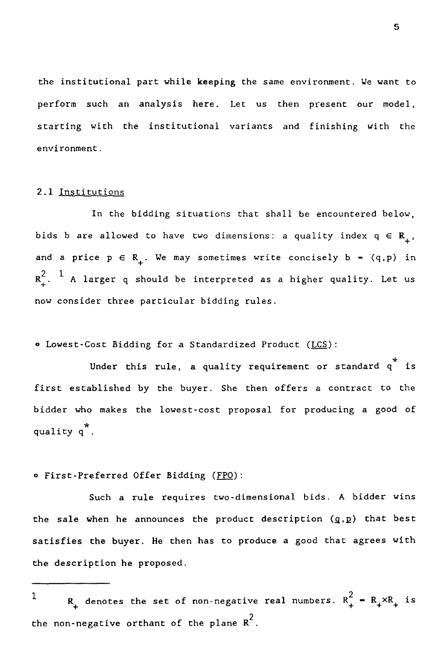the institutional part while keeping the same environment. We want to perform such an analysis here. Let us then present our model, starting with the institutional variants and finishing with the environment.

#### 2.1 Institutions

In the bidding situations that shall be encountered below, bids b are allowed to have two dimensions: a quality index  $q \in R_+$ , 2.1 Institutions<br>
In the bidding situations that shall be encountered below,<br>
bids b are allowed to have two dimensions: a quality index  $q \in R_+$ ,<br>
and a price  $p \in R_+$ . We may sometimes write concisely b = (q,p) in<br>  $R_+$ .1 <u>I</u><br>ids<br>nd a<br>2 1<br>+ .<br>ow co 2.1 Institutions<br>
In the bidding situations that shall be encountered below,<br>
bids b are allowed to have two dimensions: a quality index  $q \in R_+$ ,<br>
and a price  $p \in R_+$ . We may sometimes write concisely b - (q,p) in<br>  $R_+$ now consider three particular bidding rules.

o Lowest-Cost Bidding for a Standardized Product (LCS):

Under this rule, a quality requirement or standard  $q^*$  is first established by the buyer. She then offers a contract to the bidder who makes the lowest-cost proposal for producing a good of quality q \* .

o First-Preferred Offer Bidding (FPO):

Such *a* rule requires two-dimensional bids. A bidder wins the sale when he announces the product description  $(g,p)$  that best satisfies the buyer. He then has to produce a good that agrees with the description he proposed. 

1 R<sub>+</sub> denotes the set of non-negative real numbers.  $R_+^2 = R_+ \times R_+$  is the non-negative orthant of the plane  $R^2$ .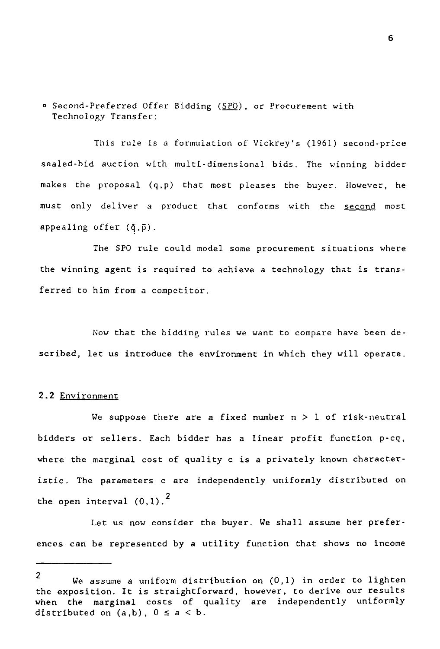O Second-Preferred Offer Bidding (SPO), or Procurement with Technology Transfer:

This rule is a formulation of Vickrey's (1961) second-price sealed-bid auction with multi-dimensional bids. The winning bidder makes the proposal (q,p) that most pleases the buyer. However, he must only deliver a product that conforms with the second most appealing offer  $(\bar{q}, \bar{p})$ .

The SPO rule could model some procurement situations where the winning agent is required to achieve a technology that is transferred to him from a competitor.

Now that the bidding rules we want to compare have been described, let us introduce the environment in which they will operate.

#### 2.2 Environment

We suppose there are a fixed number  $n > 1$  of risk-neutral bidders or sellers. Each bidder has a linear profit function p-cq, where the marginal cost of quality c is a privately known characteristic. The parameters c are independently uniformly distributed on the open interval  $(0,1)$ .<sup>2</sup>

Let us now consider the buyer. *We* shall assume her preferences can be represented by a utility function that shows no income

<sup>2</sup> *We* assume a uniform distribution on (0,1) in order to lighten the exposition. It is straightforward, however, to derive our results when the marginal costs of quality are independently uniformly distributed on  $(a,b)$ ,  $0 \le a \le b$ .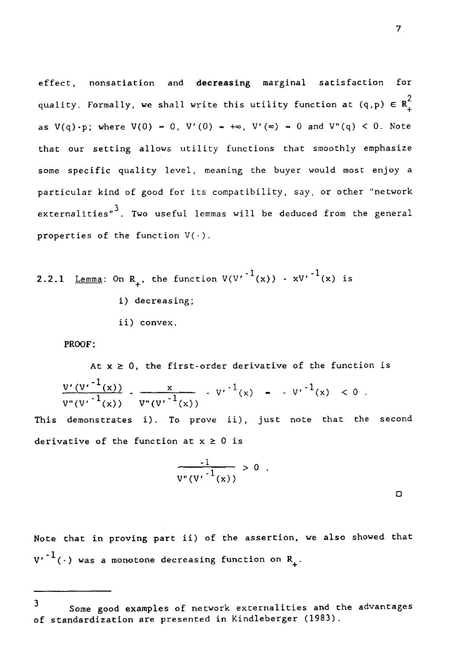effect, nonsatiation and decreasing marginal satisfaction for quality. Formally, we shall write this utility function at (q,p)  $\in R_{\perp}^2$ as  $V(q)$ -p; where  $V(0) = 0$ ,  $V'(0) = +\infty$ ,  $V'(\infty) = 0$  and  $V''(q) < 0$ . Note that our setting allows utility functions that smoothly emphasize some specific quality level, meaning the buyer would most enjoy a particular kind of good for its compatibility, say, or other "network externalities"<sup>3</sup>. Two useful lemmas will be deduced from the general properties of the function  $V(\cdot)$ . some specific qual<br>particular kind of<br>externalities"<sup>3</sup>. To<br>properties of the f<br>2.2.1 <u>Lemma</u>: On R<sub>+</sub><br>i) d<br>ii)

2.2.1 Lemma: On R<sub>+</sub>, the function 
$$
V(V'^{-1}(x)) - x{V'}^{-1}(x)
$$
 is  
\ni) decreasing;  
\nii) convex.  
\nPROOF:  
\nAt  $x \ge 0$ , the first-order derivative of the func  
\n
$$
\frac{V'(V'^{-1}(x))}{V''(V'^{-1}(x))} - \frac{x}{V''(V'^{-1}(x))} - V'^{-1}(x) = -V'^{-1}(x) <
$$
\nThis demonstrates i). To prove ii), just note that  
\nderivative of the function at  $x \ge 0$  is

PROOF:

At  $x \ge 0$ , the first-order derivative of the function is 1) decreasing;<br>
ii) convex.<br>
PROOF:<br>
At  $x \ge 0$ , the first-order derivative of the functic<br>  $\frac{\nabla'(V')^{-1}(x)}{\nabla''(V')^{-1}(x)} - \frac{x}{V''(V')^{-1}(x)} - V'^{-1}(x) - V'^{-1}(x) < 0$ .<br>
demonstrates i). To prove ii), just note that the

This demonstrates i). To prove ii), just note that the second derivative of the function at  $x \ge 0$  is

$$
\frac{-1}{v^*(v'-1(x))} > 0.
$$

Note that in proving part ii) of the assertion, we also showed that  $v'$  $^{-1}$ ( $\cdot$ ) was a monotone decreasing function on  $R_+$ .

 $\Box$ 

<sup>3</sup> Some good examples of network externalities and the advantages of standardization are presented in Kindleberger (1983).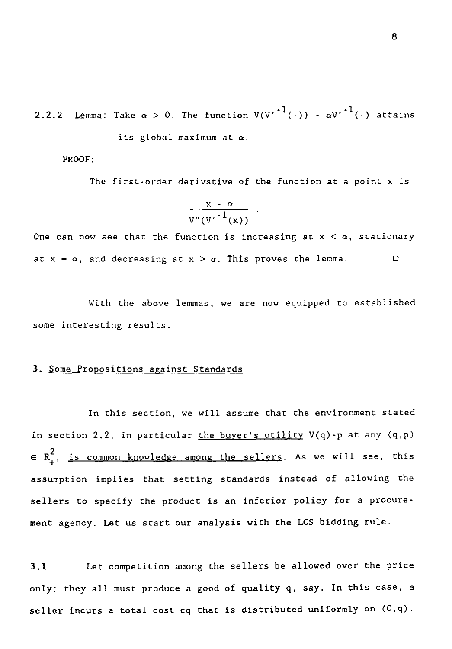1(.))  $-\alpha V^{1}$ 2.2.2 <u>Lemma</u>: Take  $\alpha > 0$ . The function  $V(V^{r^{-1}}(\cdot)) - \alpha V^{r^{-1}}(\cdot)$  attains its global maximum at  $\alpha$ .

PROOF:

The first-order derivative of the function at a point x is

$$
\frac{x - \alpha}{v^*(v^{*1}(x))}
$$

One can now see that the function is increasing at  $x < \alpha$ , stationary its global maximum at  $\alpha$ .<br>
PROOF:<br>
The first-order derivative of the function at a point x<br>  $\frac{x \cdot \alpha}{v^v(v^{r-1}(x))}$ .<br>
One can now see that the function is increasing at x <  $\alpha$ , stations<br>
at x =  $\alpha$ , and decreasing at

With the above lemmas, we are now equipped to established some interesting results.

## 3. Some Propositions against Standards

In this section, we will assume that the environment stated in section 2.2, in particular the buyer's utility  $V(q)$ -p at any  $(q, p)$  $\in$  R $_+^2$ , <u>is common knowledge among the sellers</u>. As we will see, this assumption implies that setting standards instead of allowing the sellers to specify the product is an inferior policy for a procurement agency. Let us start our analysis with the LCS bidding rule. in section 2.2, in particular <u>the buyer's utility</u>  $V(q)$ -p at any  $(q, p)$ <br>  $\in R_+^2$ , <u>is common knowledge among the sellers</u>. As we will see, this<br>
assumption implies that setting standards instead of allowing the<br>
selle

only: they all must produce a good of quality q, say. In this case, a seller incurs a total cost cq that is distributed uniformly on  $(0,\mathsf{q})$ .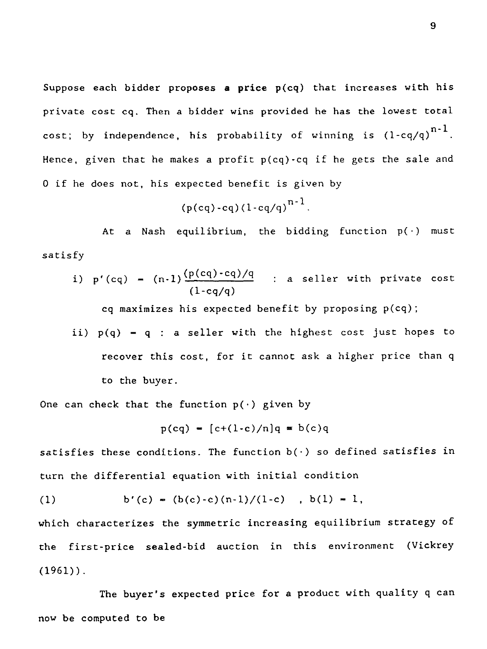Suppose each bidder proposes a price  $p(cq)$  that increases with his private cost cq. Then a bidder wins provided he has the lowest total cost; by independence, his probability of winning is  $(1-cq/q)^{n-1}$ . Hence, given that he makes a profit  $p(cq)$ -cq if he gets the sale and 0 if he does not, his expected benefit is given by (p(cq)-cq)/q if he gets the sale and<br>
(p(cq)-cq)(1-cq/q)<sup>n-1</sup>.<br>
At a Nash equilibrium, the bidding function  $p(\cdot)$  must<br>
fy<br>
(p(cq) - (n-1) $\frac{(p(cq)-cq)/q)}{(1-cq/q)}$  : a seller with private cost<br>
(q maximizes his expected benefi

$$
(p(cq) - cq)(1 - cq/q)^{n-1}
$$
.

At a Nash equilibrium, the bidding function  $p(\cdot)$  must satisfy

i) 
$$
p'(cq) = (n-1)\frac{(p(cq)-cq)/q}{(1-cq/q)}
$$
 : a seller with private cost

cq maximizes his expected benefit by proposing p(cq);

ii)  $p(q) - q$  : a seller with the highest cost just hopes to recover this cost, for it cannot ask a higher price than q to the buyer. (1-cq/q)<br>
es his expected benefit by p<br>
: a seller with the highes<br>
is cost, for it cannot ask a<br>
er.<br>
he function p(·) given by<br>
p(cq) = [c+(1-c)/n]q = b(c)q<br>
itions. The function b(·) so<br>
l equation with initial cond

One can check that the function  $p(\cdot)$  given by

$$
p(cq) = [c+(1-c)/n]q = b(c)q
$$

satisfies these conditions. The function  $b(\cdot)$  so defined satisfies in turn the differential equation with initial condition

(1) 
$$
b'(c) = (b(c)-c)(n-1)/(1-c)
$$
,  $b(1) = 1$ ,

to the buyer.<br>
One can check that the function  $p(\cdot)$  given by<br>  $p(cq) = [c+(1-c)/n]q = b(c)q$ <br>
satisfies these conditions. The function  $b(\cdot)$  so defir<br>
turn the differential equation with initial condition<br>
(1) b'(c) =  $(b(c)-c)(n-1$ which characterizes the symmetric increasing equilibrium strategy of the first-price sealed-bid auction in this environment (Vickrey  $(1961)$ .

The buyer's expected price for a product with quality q can now be computed to be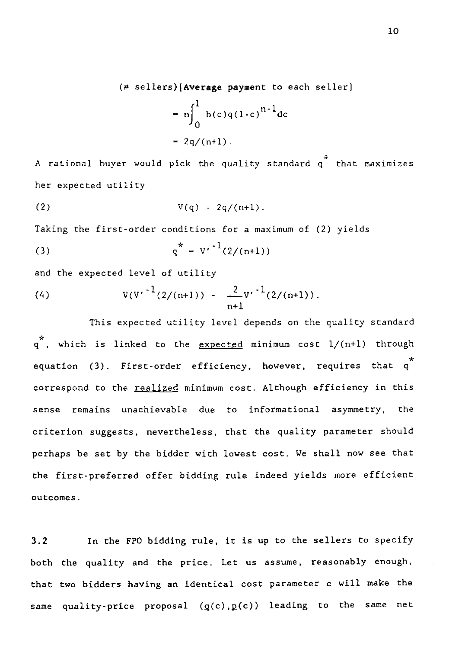(# sellers)(Average payment to each seller)

$$
= n \int_0^1 b(c)q(1-c)^{n-1} dc
$$
  
= 2q/(n+1).

A rational buyer would pick the quality standard  $\overline{\mathfrak{q}}^*$  that maximizes her expected utility 1d pick the quality<br>  $V(q) - 2q/(n+1)$ .<br>
r conditions for a man<br>  $q^* = V'^{-1}(2/(n+1))$ <br>
1 of utility<br>  $\frac{2}{n+1}V^{-1}$ <br>
ed utility level dependency A factorial buyer would pick the quality standard<br>
her expected utility<br>
(2)  $V(q) - 2q/(n+1)$ .<br>
Taking the first-order conditions for a maximum of (<br>
(3)  $q^* = V^{-1}(2/(n+1))$ <br>
and the expected level of utility<br>
(4)  $V(V^{-1}(2/(n+1))$ 

(2) 
$$
V(q) - 2q/(n+1)
$$
.

Taking the first-order conditions for a maximum of (2) yields

(3) 
$$
q^* = V' \cdot \frac{1}{2} (2/(n+1))
$$

and the expected level of utility

(4) 
$$
V(V^{-1}(2/(n+1)) - \frac{2}{n+1}V^{-1}(2/(n+1)).
$$

This expected utility level depends on the quality standard q  $^\star$ , which is linked to the <u>expected</u> minimum cost  $1/$ (n+1) through equation (3). First-order efficiency, however, requires that q<sup>\*</sup> correspond to the realized minimum cost. Although efficiency in this sense remains unachievable due to informational asymmetry, the criterion suggests, nevertheless, that the quality parameter should perhaps be set by the bidder with lowest cost. We shall now *see* that the first-preferred offer bidding rule indeed yields more efficient outcomes.

3.2 In the FPO bidding rule, it is up to the sellers to specify both the quality and the price. Let us assume, reasonably enough, that two bidders having an identical cost parameter c will make the same quality-price proposal  $(g(c), p(c))$  leading to the same net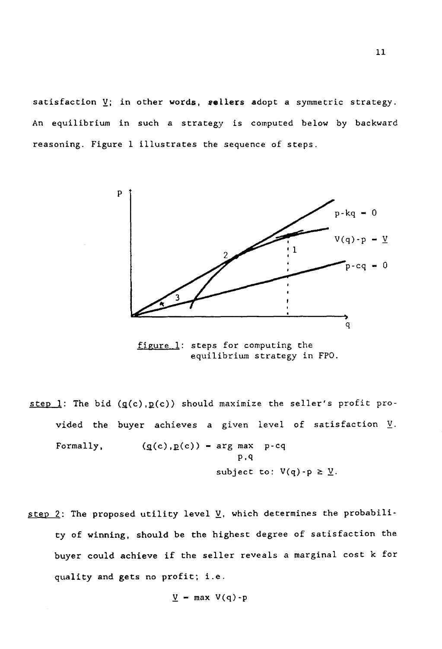satisfaction V; in other words, **sellers** adopt a symmetric strategy. An equilibrium in such a strategy is computed below by backward reasoning. Figure 1 illustrates the sequence of steps.



figure 1: steps for computing the equilibrium strategy in FPO.

- step 1: The bid  $(g(c), p(c))$  should maximize the seller's profit provided the buyer achieves a given level of satisfaction  $\underline{V}$ . 1: The bi-<br>vided the<br>Formally, igure 1: steps for computined<br>
equilibrium strate<br>
equilibrium strate<br>
.g(c)) should maximize the<br>
cachieves a given level<br>
(g(c), p(c)) = arg max p-cq<br>
p, q<br>
subject to: V P,c1 ibrium strategy in FPO.<br>
maximize the seller's<br>
given level of satis<br>
arg max p-cq<br>
p,q<br>
subject to: V(q)-p  $\geq \underline{V}$ .<br>  $\underline{V}$ , which determines the
- step 2: The proposed utility level  $\underline{V}$ , which determines the probability of winning, should be the highest degree of satisfaction the buyer could achieve if the seller reveals a marginal cost k for quality and gets no profit; i.e.

$$
\underline{V} = \max V(q) - p
$$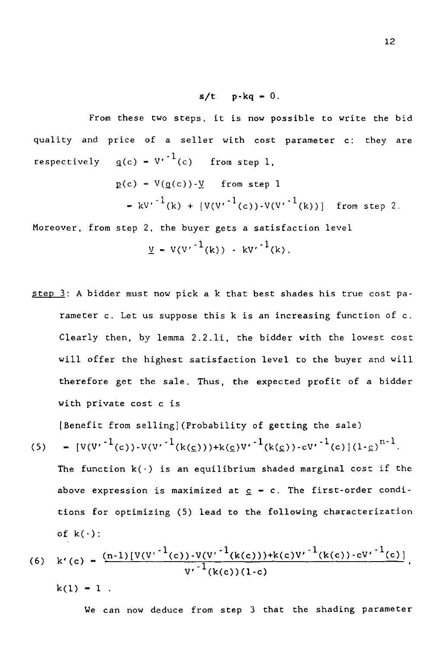s/t p-kq = 0.<br>;, it is now pc<br>ler with cost From these two steps, it is now possible to write the bid quality and price of a seller with cost parameter c: they are **s/t**  $p-kq = 0$ <br>From these two steps, it is now p<br>quality and price of a seller with cost<br>respectively  $q(c) = V'^{-1}(c)$  from step 1,<br> $p(c) = V(q(c)) - Y$  from step<br> $= kV'^{-1}(k) + [V(V'^{-1}(c)) - V(0)]$ s/t  $p-kq = 0$ .<br>these two steps, it is now po<br>cice of a seller with cost<br> $q(c) = V^{-1}(c)$  from step 1,<br> $p(c) = V(q(c))-\underline{V}$  from step 1<br> $= kv^{-1}(k) + [V(V^{-1}(c))\cdot V(\overline{V})]$ <br>step 2, the buyer gets a satis where two steps, it is now possible to write the b<br>
c of a seller with cost parameter c: they a<br>
c) =  $V'^{-1}(c)$  from step 1,<br>
c) =  $V(g(c))$ - $\underline{V}$  from step 1<br>
=  $k{V'}^{-1}(k) + [V(V'^{-1}(c))$ - $V(V'^{-1}(k))]$  from step 2.<br>
ep 2, the bu

$$
p(c) = V(g(c))-\underline{V} \quad \text{from step 1}
$$
  
=  $kV'^{-1}(k) + [V(V'^{-1}(c)) - V(V'^{-1}(k))]$  from step 2.

Moreover, from step 2, the buyer gets a satisfaction level

$$
\underline{V} = V(V^{r^{-1}}(k)) - kV^{r^{-1}}(k).
$$

 $step 3$ : A bidder must now pick a k that best shades his true cost pa-</u> rameter c. Let us suppose this k is an increasing function of c. Clearly then, by lemma 2.2.1i, the bidder with the lowest cost will offer the highest satisfaction level to the buyer and will therefore get the sale. Thus, the expected profit of a bidder with private cost c is Clearly then, by lemma 2.2.1i, the bidder with the lowest comparison of Clearly then, by lemma 2.2.1i, the bidder with the lowest computed will offer the highest satisfaction level to the buyer and with therefore get the

[Benefit from sellingl(Probability of getting the sale)

(5) = 
$$
[V(V^{-1}(c)) - V(V^{-1}(k(\underline{c}))) + k(\underline{c})V^{-1}(k(\underline{c})) - c{V'}^{-1}(c)](1-\underline{c})^{n-1}.
$$

from selling](Probability of getting the sale)<br>  $^{-1}(c)$ )-V(V' $^{-1}(k(\underline{c}))+k(\underline{c})V'$  $^{-1}(k(\underline{c}))-cV'$  $^{-1}(c)$ ](1- $\underline{c})^{n-1}$ .<br>
tion k(·) is an equilibrium shaded marginal cost if the<br>
pression is maximized at  $\underline{c}$  - c. Th (5)  $- [V(V^{\dagger})^{\dagger}]$ <br>The funct<br>above exp<br>tions for<br>tions for<br>of k(.):<br>(6) k'(c)  $\frac{(100)(1000)}{1000}$ <br>k(1)  $-$  1<br>We c ximized at  $c =$ <br>i) lead to the<br>i) lead to the<br> $y^{-1}(k(c))(1-c)$ <br> $y^{-1}(k(c))(1-c)$ <br>from step 3 t The function  $k(\cdot)$  is an equilibrium shaded marginal cost if the above expression is maximized at  $c = c$ . The first-order conditions for optimizing (5) lead to the following characterization of  $k(\cdot)$ :

(6) 
$$
k'(c) = \frac{(n-1)[V(V^{r-1}(c))\cdot V(V^{r-1}(k(c))) + k(c)V^{r-1}(k(c))\cdot c{V^{r-1}(c)}]}{V^{r-1}(k(c))(1-c)}
$$

 $k(1) - 1$ .

We can now deduce from step 3 that the shading parameter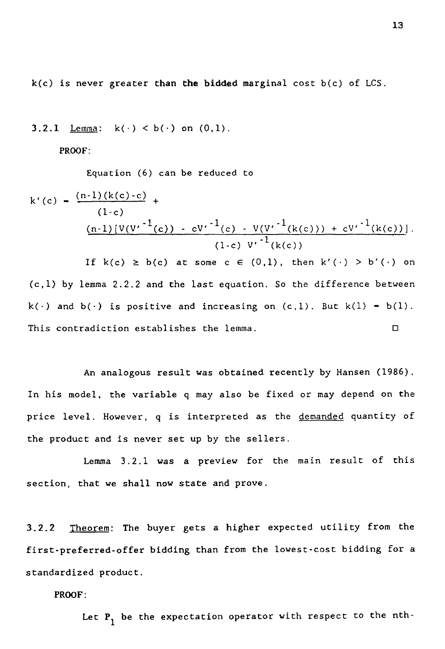$k(c)$  is never greater than the bidded marginal cost  $b(c)$  of LCS.

 $k(c)$  is never greater than the biddends.<br>3.2.1 <u>Lemma</u>:  $k(\cdot) < b(\cdot)$  on  $(0,1)$ .<br>PROOF:

PROOF:

Equation (6) can be reduced to

\n- $$
k(c)
$$
 is never greater than the bidded marginal cost  $b(c)$  of LCS.
\n- 3.2.1 Lemma:  $k(\cdot) < b(\cdot)$  on  $(0,1)$ .
\n- PROOF:  $Equation (6)$  can be reduced to  $k'(c) = \frac{(n-1)(k(c)-c)}{(1-c)} + \frac{(n-1)[V(V^{r-1}(c)) - c{V^{r-1}(c)} - V(V^{r-1}(k(c))) + c{V^{r-1}(k(c))} \cdot (1-c) {V^{r-1}(k(c))} \cdot (1-c) {V^{r-1}(k(c))} \cdot (1-c) {V^{r-1}(k(c))} \cdot (1-c) {V^{r-1}(k(c))} \cdot (1-c) {V^{r-1}(k(c))} \cdot (1-c) {V^{r-1}(k(c))} \cdot (1-c) {V^{r-1}(k(c))} \cdot (1-c) {V^{r-1}(k(c))} \cdot (1-c) {V^{r-1}(k(c))} \cdot (1-c) {V^{r-1}(k(c))} \cdot (1-c) {V^{r-1}(k(c))} \cdot (1-c) {V^{r-1}(k(c))} \cdot (1-c) {V^{r-1}(k(c))} \cdot (1-c) {V^{r-1}(k(c))} \cdot (1-c) {V^{r-1}(k(c))} \cdot (1-c) {V^{r-1}(k(c))} \cdot (1-c) {V^{r-1}(k(c))} \cdot (1-c) {V^{r-1}(k(c))} \cdot (1-c) {V^{r-1}(k(c))} \cdot (1-c) {V^{r-1}(k(c))} \cdot (1-c) {V^{r-1}(k(c))} \cdot (1-c) {V^{r-1}(k(c))} \cdot (1-c) {V^{r-1}(k(c))} \cdot (1-c) {V^{r-1}(k(c))} \cdot (1-c) {V^{r-1}(k(c))} \cdot (1-c) {V^{r-1}(k(c))} \cdot (1-c) {V^{r-1}(k(c))} \cdot (1-c) {V^{r-1}(k(c))} \cdot (1-c) {V^{r-1}(k(c))} \cdot (1-c) {V^{r-1}(k(c))} \cdot (1-c) {V^{r-1}(k(c))} \cdot (1-c) {V^{r-1}(k(c))} \cdot (1-c) {V^{r-1}(k(c))} \cdot (1-c) {V^{r-$

(c,l) by lemma 2.2.2 and the last equation. So the difference between equation (6) can be reduced to<br>  $k'(c) = \frac{(n-1)(k(c)-c)}{(1-c)} +$ <br>  $\frac{(n-1)[V(V'-1(c)) - CV^{-1}(c) - V(V'-1(k(c))) + CV^{-1}(k(c)))}{(1-c) V^{-1}(k(c))}$ <br>
If  $k(c) \ge b(c)$  at some  $c \in (0,1)$ , then  $k'(\cdot) > b'(\cdot)$  or<br>
(c,l) by lemma 2.2.2 and the last equation. So the di  $k'(c) = \frac{(n-1)(k(c)-c)}{(1-c)} +$ <br>  $(1-c)$ <br>  $(n-1)[V(V'-1(c)) - CV^{-1}(c) - V(V'-1(k(c))) + CV^{-1}(k(c))$ <br>
If  $k(c) \ge b(c)$  at some  $c \in (0,1)$ , then  $k'(\cdot) > b'(\cdot)$ <br>
(c,1) by lemma 2.2.2 and the last equation. So the difference between<br>  $k(\cdot)$  and  $b(\cdot)$  is posi

An analogous result was obtained recently by Hansen (1986). In his model, the variable q may also be fixed or may depend on the price level. However, q is interpreted as the demanded quantity of the product and is never set up by the sellers.

Lemma 3.2.1 was a preview for the main result of this section, that we shall now state and prove.

3.2.2 Theorem: The buyer gets a higher expected utility from the first-preferred-offer bidding than from the lowest-cost bidding for a standardized product.

PROOF:

Let  ${\tt P}_1$  be the expectation operator with respect to the nth-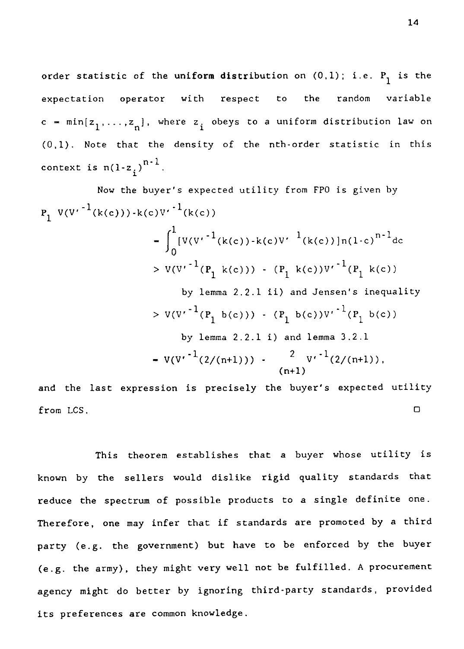order statistic of the <mark>uniform distri</mark>bution on  $(0,1)$ ; i.e.  $\text{P}_{\text{1}}$  is the order statistic of the uniform distribution on  $(0,1)$ ; i.e.  $P_1$  is the<br>expectation operator with respect to the random variable<br>c = min[z<sub>1</sub>,...,z<sub>n</sub>], where z<sub>i</sub> obeys to a uniform distribution law or<br>(0,1). Note that  $c = min[z_1, ..., z_n],$  where  $z_i$  obeys to a uniform distribution law on (0,1). Note that the density of the nth-order statistic in this context is  $n(1-z_i)^{n+1}$ .

expectation operator with respect to the random variable  
\nc = min[z<sub>1</sub>,...,z<sub>n</sub>], where z<sub>i</sub> obeys to a uniform distribution law  
\n(0,1). Note that the density of the nth-order statistic in this  
\ncontext is n(1-z<sub>i</sub>)<sup>n-1</sup>.  
\nNow the buyer's expected utility from FP0 is given by  
\n
$$
P_1 V(V'^{-1}(k(c))) \cdot k(c)V'^{-1}(k(c))
$$
\n
$$
= \int_0^1 [V(V'^{-1}(k(c)) \cdot k(c)V'^{-1}(k(c))]n(1-c)^{n-1}dc
$$
\n
$$
> V(V'^{-1}(P_1 k(c))) - (P_1 k(c))V'^{-1}(P_1 k(c))
$$
\nby lemma 2.2.1 ii) and Jensen's inequality  
\n
$$
> V(V'^{-1}(P_1 b(c))) - (P_1 b(c))V'^{-1}(P_1 b(c))
$$
\nby lemma 2.2.1 i) and lemma 3.2.1  
\n
$$
= V(V'^{-1}(2/(n+1))) - \frac{2}{(n+1)}V'^{-1}(2/(n+1)),
$$
\n(1+1)  
\nand the last expression is precisely the buyer's expected utility if  
\nfrom LCS.  
\nThis theorem establishes that a buyer whose utility i

and the last expression is precisely the buyer's expected utility

This theorem establishes that a buyer whose utility is known by the sellers would dislike rigid quality standards that reduce the spectrum of possible products to a single definite one. Therefore, one may infer that if standards are promoted by a third party (e.g. the government) but have to be enforced by the buyer (e.g. the army), they might very well not be fulfilled. A procurement agency might do better by ignoring third-party standards, provided its preferences are common knowledge.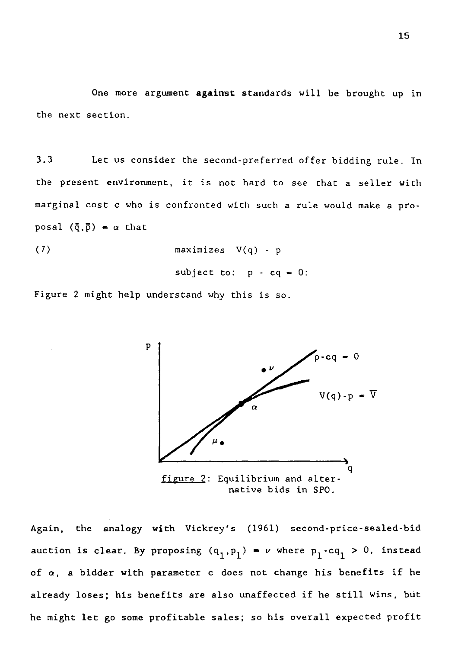One more argument against standards will be brought up in the next section.

9.5<br>
3.3 One more argument **against standards will be brought up in**<br>
3.3 Let us consider the second-preferred offer bidding rule. In<br>
the present environment, it is not hard to see that a seller with<br>
marginal cost c who the present environment, it is not hard to see that a seller with marginal cost c who is confronted with such a rule would make a proposal  $(\bar{q}, \bar{p}) = \alpha$  that e ところ しょうしょう しょうしょう しょうしょう しょうしょう しょうしょう こうしょう しょうしょう しょうしょう しょうしょう しょうしゃ しょうしゃ しょうしゃ しょうしゃ しょうしゃ しょうしゃ しょうしゃ

$$
\begin{array}{lcl}\n\text{maximizes} & V(q) - p \\
\text{subject to:} & p - cq = 0:\n\end{array}
$$

Figure 2 might help understand why this is so.



native bids in SPO.

Again, the analogy with Vickrey's (1961) second-price-sealed-bid auction is clear. By proposing  $(\mathsf{q}_1,\mathsf{p}_1)$   $\;\texttt{=}$   $\;\nu$  where  $\mathsf{p}_1\text{-}\mathsf{c}\mathsf{q}_1$   $>$   $\;0$ , instead of  $\alpha$ , a bidder with parameter c does not change his benefits if he already loses; his benefits are also unaffected if he still wins, but he might let go some profitable sales; so his overall expected profit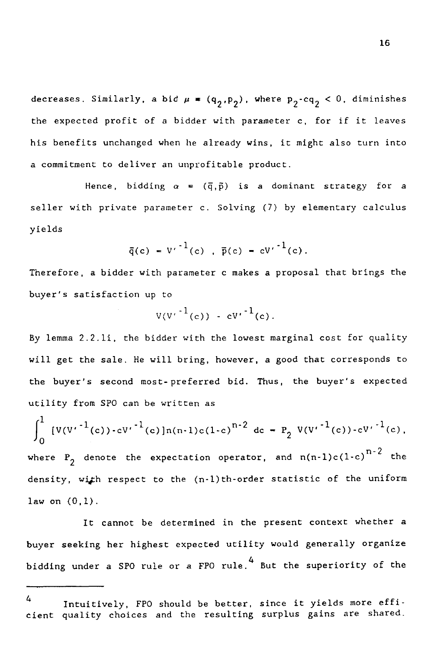decreases. Similarly, a bid  $\mu = (q_2, p_2)$ , where  $p_2 - cq_2 < 0$ , diminishes<br>the expected profit of a bidder with parameter c, for if it leaves<br>his benefits unchanged when he already wins, it might also turn into the expected profit of a bidder with parameter c, for if it leaves his benefits unchanged when he already wins, it might also turn into a commitment to deliver an unprofitable product. Similarly, a bid  $\mu = (q_2, p_2)$ , where  $p_2$ -c $q_2 < 0$ , diminishes<br>ed profit of a bidder with parameter c, for if it leaves<br>ts unchanged when he already wins, it might also turn into<br>nt to deliver an unprofitable product.

seller with private parameter c. Solving (7) by elementary calculus yields inded when he already<br>
liver an unprofitable<br>
bidding  $\alpha = (\overline{q}, \overline{p})$  is<br>
the parameter c. Solvi<br>  $\overline{q}(c) = V'^{-1}(c)$ ,  $\overline{p}(c)$ <br>
r with parameter c ma<br>
on up to

$$
\bar{q}(c) = V'^{-1}(c) , \bar{p}(c) = cV'^{-1}(c).
$$

Therefore, a bidder with parameter c makes a proposal that brings the buyer's satisfaction up to  $V'^{-1}(c)$ ,  $\bar{p}(c) = cV'$ <br>
h parameter c makes a<br>
to<br>  $V(V'^{-1}(c)) - c{V'}^{-1}(c)$ .<br>
dder with the lowest m

$$
V(V^{+1}(c)) - CV^{+1}(c).
$$

By lemma 2.2.1i, the bidder with the lowest marginal cost for quality will get the sale. He will bring, however, a good that corresponds to the buyer's second most-preferred bid. Thus, the buyer's expected utility from SPO can be written as

$$
\int_{0}^{1} [V(V^{r^{-1}}(c)) - CV^{r^{-1}}(c)]n(n-1)c(1-c)^{n-2} dc = P_2 V(V^{r^{-1}}(c)) - CV^{r^{-1}}(c),
$$
  
where  $P_2$  denote the expectation operator, and  $n(n-1)c(1-c)^{n-2}$  the

where  $P_2$ density, with respect to the  $(n-1)$ th-order statistic of the uniform law on  $(0,1)$ .

It cannot be determined in the present context whether a buyer seeking her highest expected utility would generally organize bidding under a SPO rule or a FPO rule. 4 But the superiority of the

<sup>4</sup> Intuitively, FPO should be better, since it yields more efficient quality choices and the resulting surplus gains are shared.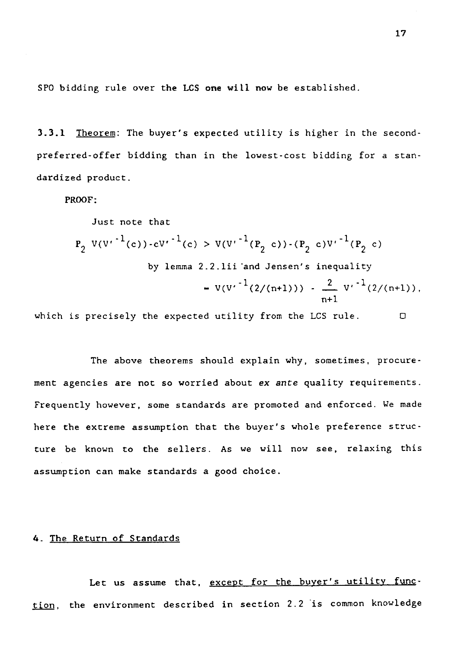SPO bidding rule over the LCS **one** will now be established.

3.3.1 Theorem: The buyer's expected utility is higher in the secondpreferred-offer bidding than in the lowest-cost bidding for a standardized product.

PROOF:

\n- 3.3.1 Theorem: The buyer's expected utility is higher in the second-preferred-offer bidding than in the lowest-cost bidding for a standardized product.
\n- PROOF:
\n- Just note that\n 
$$
P_2 V(V'^{-1}(c)) - cV'^{-1}(c) > V(V'^{-1}(P_2 c)) - (P_2 c)V'^{-1}(P_2 c)
$$
\n by lemma 2.2.1ii and Jensen's inequality\n 
$$
= V(V'^{-1}(2/(n+1))) - \frac{2}{n+1} V'^{-1}(2/(n+1)),
$$
\n which is precisely the expected utility from the LCS rule.\n \n The above theorems should explain why, sometimes, procedure-\n
\n

The above theorems should explain why, sometimes, procurement agencies are not so worried about *ex ante* quality requirements. Frequently however, some standards are promoted and enforced. *We made* here the extreme assumption that the buyer's whole preference structure be known to the sellers. As we will now *see,* relaxing this assumption can make standards a good choice.

### 4. The Return of Standards

Let us assume that, except for the buyer's utility function, the environment described in section 2.2 is common knowledge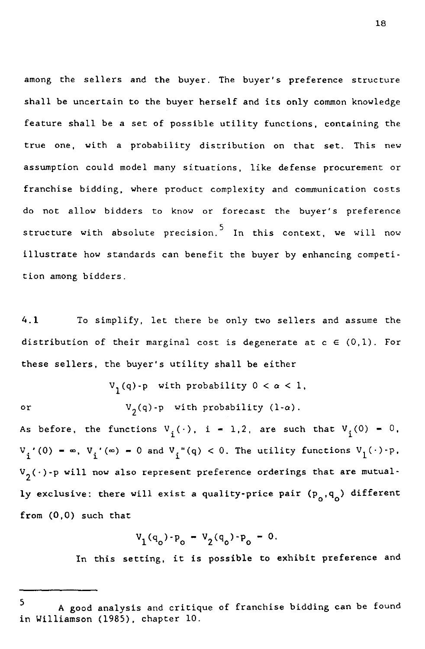among the sellers and the buyer. The buyer's preference structure shall be uncertain to the buyer herself and its only common knowledge feature shall be a set of possible utility functions, containing the true one, with a probability distribution on that set. This new assumption could model many situations, like defense procurement or franchise bidding, where product complexity and communication costs do not allow bidders to know or forecast the buyer's preference structure with absolute precision. $^{\mathsf{5}}$  In this context, we will now illustrate how standards can benefit the buyer by enhancing competition among bidders. Itanchise biology, where product complexity and communication costs<br>do not allow bidders to know or forecast the buyer's preference<br>structure with absolute precision.<sup>5</sup> In this context, we will not<br>illustrate how standar

distribution of their marginal cost is degenerate at  $c \in (0,1)$ . For these sellers, the buyer's utility shall be either  $\frac{1}{3}$  is the set of  $\frac{1}{3}$ 

 $\mathrm{V}_{1}(\mathrm{q})$ -p with probability  $0 < \alpha < 1$ ,  $\mathrm{V}_{\mathbf{2}}(\mathsf{q})$ -p $\;$  with probability (l- $\alpha$ ).

or

As before, the functions  $V_i(\cdot)$ , i = 1,2, are such that  $V_i(0) = 0$ ,  $V_i$ '(0) =  $\infty$ ,  $V_i'(\infty)$  = 0 and  $V_i''(q) < 0$ . The utility functions  $V_i(\cdot) \cdot p$ .  ${\tt V}_2(\,\cdot\,)$  -p will now also represent preference orderings that are mutual ly exclusive: there will exist a quality-price pair  $(p_0, q_0)$  different from (0,0) such that

$$
V_1(q_o) - P_o = V_2(q_o) - P_o = 0.
$$

In this setting, it is possible to exhibit preference and

18

<sup>5</sup> A good analysis and critique of franchise bidding can be found in Williamson (1985), chapter 10.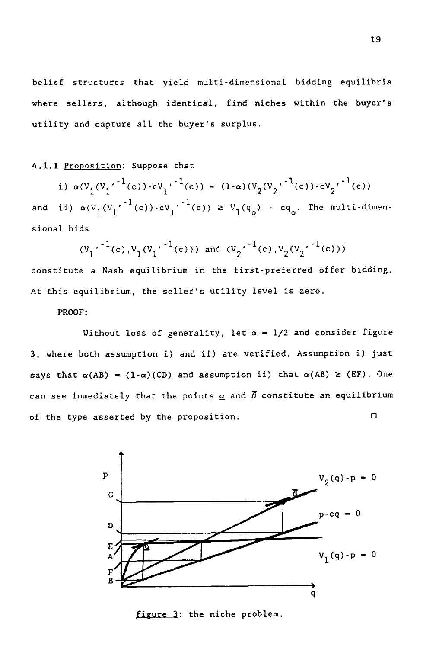belief structures that yield multi-dimensional bidding equilibria where sellers, although identical, find niches within the buyer's utility and capture all the buyer's surplus.

## 4.1.1 Proposition: Suppose that

f structures that yield multi-dimens<br>
sellers, although identical, find  $\mathfrak v$ <br>
ty and capture all the buyer's surplus<br>
<u>Proposition</u>: Suppose that<br>
i)  $\alpha(V_1(V_1 \cdot {}^{-1}(c)) - cV_1 \cdot {}^{-1}(c)) = (1-\alpha)(V_1 \cdot {}^{-1}(c)) - cV_1 \cdot {}^{-1}(c)) \ge V_1(q_0$  $2^{(V_2^{\prime^{-1}(c)) - cV_2^{\prime^{-1}(c))}}$  $\overline{1}$ where sellers, although identical, find niches within the buyer's<br>utility and capture all the buyer's surplus.<br>4.1.1 <u>Proposition</u>: Suppose that<br>i)  $\alpha(V_1(V_1' \cdot {}^1(c)) \cdot cV_1' \cdot {}^1(c)) = (1-\alpha)(V_2(V_2' \cdot {}^1(c)) \cdot cV_2' \cdot {}^1(c))$ <br>and ii sional bids

$$
(v_1 \cdot {}^{1}(\epsilon), v_1(v_1 \cdot {}^{1}(\epsilon)))
$$
 and  $(v_2 \cdot {}^{1}(\epsilon), v_2(v_2 \cdot {}^{1}(\epsilon)))$ 

constitute a Nash equilibrium in the first-preferred offer bidding. At this equilibrium, the seller's utility level is zero.

### PROOF:

Without loss of generality, let  $\alpha = 1/2$  and consider figure 3, where both assumption i) and ii) are verified. Assumption i) just Says that a a Nash equilibrium in the first-preferred offer bidding.<br>At this equilibrium, the seller's utility level is zero.<br>PROOF:<br>Without loss of generality, let  $\alpha - 1/2$  and consider figure<br>3, where both assumption i can see immediately that the points  $\alpha$  and  $\overline{B}$  constitute an equilibrium RROOF:<br>
Without loss of generality, let  $\alpha - 1/2$  and consider fig<br>
3, where both assumption i) and ii) are verified. Assumption i) jo<br>
says that  $\alpha(AB) = (1-\alpha)(CD)$  and assumption ii) that  $\alpha(AB) \geq (EF)$ .<br>
can see immediately



figure 3: the niche problem.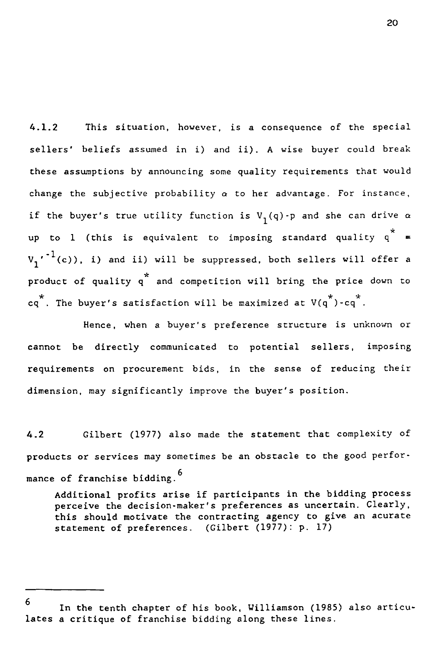20<br>4.1.2 This situation, however, is a consequence of the special<br>sellers' beliefs assumed in i) and ii). A wise buyer could breal<br>these assumptions by announcing some quality requirements that would sellers' beliefs assumed in i) and ii). A wise buyer could break these assumptions by announcing some quality requirements that would change the subjective probability  $\alpha$  to her advantage. For instance, if the buyer's true utility function is  $\mathtt{V}_1(\mathtt{q})$ -p and she can drive  $\alpha$ up to 1 (this is equivalent to imposing standard quality  $q^*$  $v_{1}^{\phantom{\dag}}{}^{\phantom{\dag}}$  (c)), i) and ii) will be suppressed, both sellers will offer a product of quality q \* and competition will bring the price down to  $cq^*$ . The buyer's satisfaction will be maximized at  $V(q^*)$ -cq<sup>\*</sup>.

Hence, when a buyer's preference structure is unknown or cannot be directly communicated to potential sellers, imposing requirements on procurement bids, in the sense of reducing their dimension, may significantly improve the buyer's position. eq. The buyer's satisfaction will be maximized at  $v(q)$ -cq.<br>Hence, when a buyer's preference structure is unknown of<br>cannot be directly communicated to potential sellers, imposing<br>requirements on procurement bids, in the s

products or services may sometimes be an obstacle to the good performance of franchise bidding. <sup>6</sup>

Additional profits arise if participants in the bidding process perceive the decision-maker's preferences as uncertain. Clearly, this should motivate the contracting agency to give an acurate statement of preferences. (Gilbert (1977): p. 17)

<sup>6</sup> In the tenth chapter of his book, Williamson (1985) also articulates a critique of franchise bidding along these lines.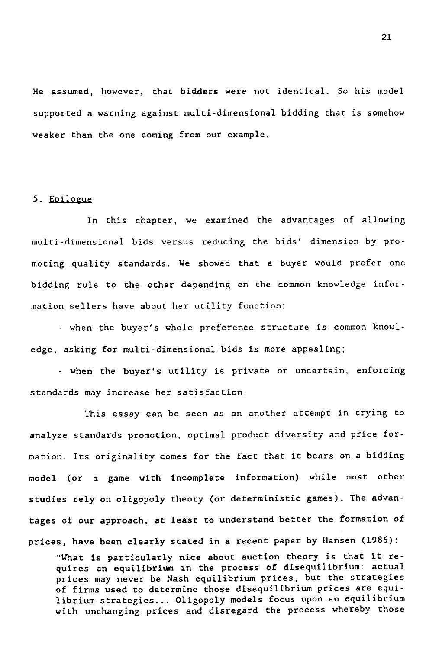He assumed, however, that bidders were not identical. So his model supported a warning against multi-dimensional bidding that is somehow weaker than the one coming from our example.

## 5. Epilogue

In this chapter, we examined the advantages of allowing multi-dimensional bids versus reducing the bids' dimension by promoting quality standards. We showed that a buyer would prefer one bidding rule to the other depending on the common knowledge information sellers have about her utility function:

- when the buyer's whole preference structure *is* common knowledge, asking for multi-dimensional bids is more appealing;

- when the buyer's utility is private or uncertain, enforcing standards may increase her satisfaction.

This essay can be seen *as an* another attempt in trying to analyze standards promotion, optimal product diversity and price formation. Its originality comes for the fact that it bears on a bidding model (or a game with incomplete information) while most other studies rely on oligopoly theory (or deterministic games). The advantages of our approach, at least to understand better the formation of prices, have been clearly stated in *a* recent paper by Hansen (1986):

"What is particularly nice about auction theory is that it requires an equilibrium in the process of disequilibrium: actual prices may never be Nash equilibrium prices, but the strategies of firms used to determine those disequilibrium prices are equilibrium strategies... Oligopoly models focus upon an equilibrium with unchanging prices and disregard the process whereby those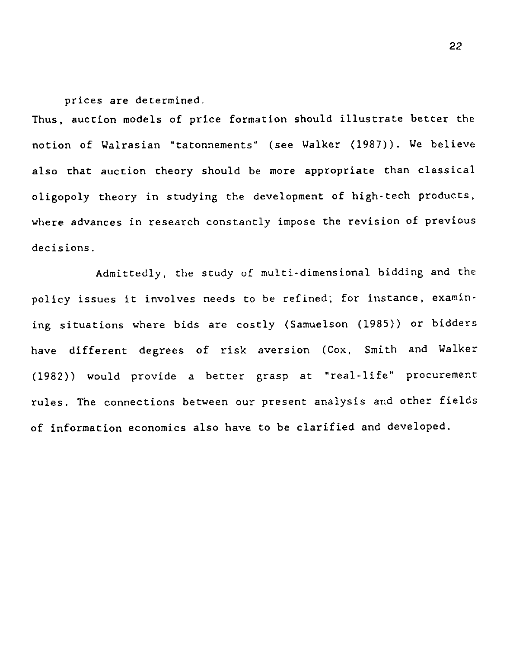prices are determined.

Thus, auction models of price formation should illustrate better the notion of Walrasian "tatonnements" *(see* Walker (1987)). We believe also that auction theory should be more appropriate than classical oligopoly theory in studying the development of high-tech products, where advances in research constantly impose the revision of previous decisions.

Admittedly, the study of multi-dimensional bidding and the policy issues it involves needs to be refined; for instance, examining situations where bids are costly (Samuelson (1985)) or bidders have different degrees of risk aversion (Cox, Smith and Walker (1982)) would provide a better grasp at "real-life" procurement rules. The connections between our present analysis and other fields of information economics also have to be clarified and developed.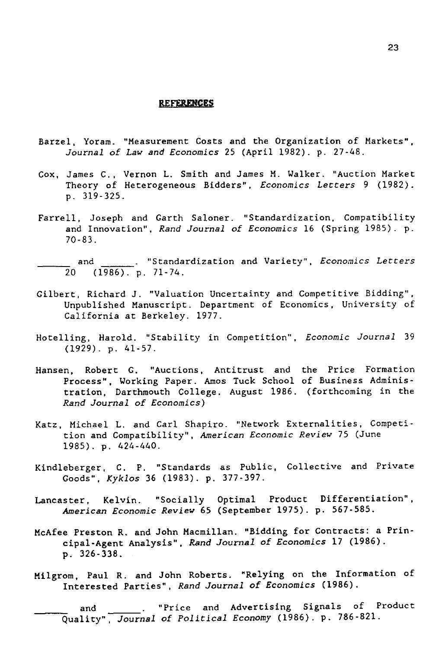#### **REFERENCES**

- Barzel, Yoram. "Measurement Costs and the Organization of Markets", *Journal of Law and Economics* 25 (April 1982). p. 27-48.
- Cox, James C., Vernon L. Smith and James M. Walker. "Auction Market Theory of Heterogeneous Bidders", *Economics Letters* 9 (1982). p. 319-325. Yoram. "Measurement Costs and the Organization of Markets",<br>
urnal of Law and Economics 25 (April 1982). p. 27-48.<br>
mes C., Vernon L. Smith and James M. Walker. "Auction Market<br>
eory of Heterogeneous Bidders", Economics Le 1, Totam. The assume that<br>
Journal of Law and Ecc<br>
James C., Vernon L. S<br>
Theory of Heterogeneo<br>
p. 319-325.<br>
11, Joseph and Garth<br>
and Innovation", Rand<br>
70-83.<br>
and (1986). p. 71-74.<br>
rt, Richard J. "Valua:<br>
Unpublished
- Farrell, Joseph and Garth Saloner. "Standardization, Compatibility and Innovation", *Rand Journal of Economics* 16 (Spring 1985). p. 70-83.
- 
- Gilbert, Richard J. "Valuation Uncertainty and Competitive Bidding", Unpublished Manuscript. Department of Economics, University of California at Berkeley. 1977.
- Hotelling, Harold. "Stability in Competition", *Economic Journal* 39 (1929). p. 41-57.
- Hansen, Robert G. "Auctions, Antitrust and the Price Formation Process", Working Paper. Amos Tuck School of Business Administration, Darthmouth College. August 1986. (forthcoming in the *Rand Journal of Economics)*
- Katz, Michael L. and Carl Shapiro. "Network Externalities, Competition and Compatibility", *American Economic Review* 75 (June 1985). p. 424-440.
- Kindleberger, C. P. "Standards as Public, Collective and Private Goods", *Kyklos* 36 (1983). p. 377-397.
- Lancaster, Kelvin. "Socially Optimal Product Differentiation", *American Economic Review* 65 (September 1975). p. 567-585.
- McAfee Preston R. and John Macmillan. "Bidding for Contracts: a Principal-Agent Analysis", *Rand Journal of Economics* 17 (1986). p. 326-338. ds", *Kyklos* 36 (1983). p. 3//-39/.<br>
r, Kelvin. "Socially Optimal Product Differentiation",<br>
rican Economic Review 65 (September 1975). p. 567-585.<br>
reston R. and John Macmillan. "Bidding for Contracts: a Prin-<br>
al-Agent
- Milgrom, Paul R. and John Roberts. "Relying on the Information of Interested Parties", *Rand Journal of Economics* (1986).

Quality", *Journal of Political Economy* (1986). p. 786-821.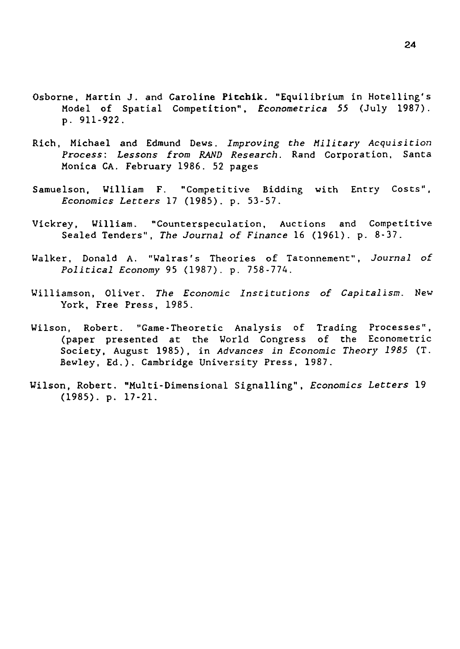- Osborne, Martin J. and Caroline Pitehik. "Equilibrium in Hotelling's Model of Spatial Competition", *Econometrica 55* (July 1987). p. 911-922.
- Rich, Michael and Edmund Dews. *Improving the Military Acquisition Process: Lessons from RAND Research.* Rand Corporation, Santa Monica CA. February 1986. 52 pages
- Samuelson, William F. "Competitive Bidding with Entry Costs", *Economics Letters* 17 (1985). p. 53-57.
- Vickrey, William. "Counterspeculation, Auctions and Competitive Sealed Tenders", *The Journal of Finance* 16 (1961). p. 8-37.
- Walker, Donald A. "Walras's Theories of Tatonnement", *Journal of Political Economy* 95 (1987). p. 758-774.
- Williamson, Oliver. *The Economic Institutions of Capitalism. New* York, Free Press, 1985.
- Wilson, Robert. "Game-Theoretic Analysis of Trading Processes", (paper presented at the World Congress of the Econometric Society, August 1985), in *Advances in Economic Theory 1985* (T. Bewley, Ed.). Cambridge University Press, 1987.
- Wilson, Robert. "Multi-Dimensional Signalling", *Economics Letters* 19 (1985). p. 17-21.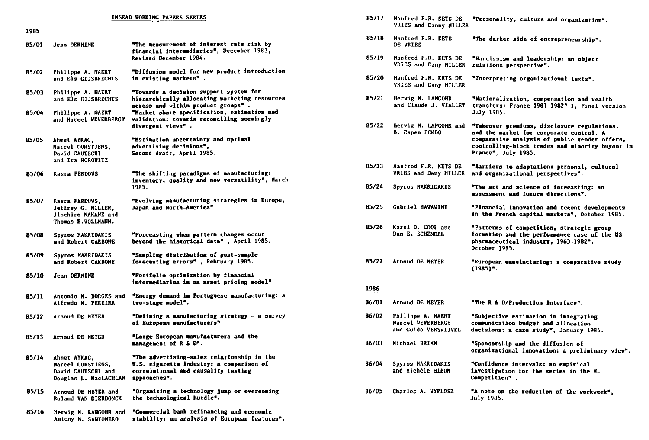| <b>INSEAD VORKING PAPERS SERIES</b> |                                                                                   |                                                                                                                                               |  |  |
|-------------------------------------|-----------------------------------------------------------------------------------|-----------------------------------------------------------------------------------------------------------------------------------------------|--|--|
| 1985                                |                                                                                   |                                                                                                                                               |  |  |
| 85/01                               | Jean DERMINE                                                                      | "The measurement of interest rate risk by<br>financial intermediaries", December 1983,<br>Revised December 1984.                              |  |  |
| 85/02                               | Philippe A. NAERT<br>and Els GIJSBRECHTS                                          | "Diffusion model for new product introduction<br>in existing markets".                                                                        |  |  |
| 85/03                               | Philippe A. NAERT<br>and Els GIJSBRECHTS                                          | "Towards a decision support system for<br>hierarchically allocating marketing resources<br>across and within product groups".                 |  |  |
| 85/04                               | Philippe A. NAERT<br>and Marcel VEVERBERGH                                        | "Market share specification, estimation and<br>validation: towards reconciling seemingly<br>divergent vievs".                                 |  |  |
| 85/05                               | Ahmet AYKAC,<br><b>Marcel CORSTJENS,</b><br>David GAUTSCHI<br>and Ira HOROVITZ    | "Estimation uncertainty and optimal<br>advertising decisions",<br>Second draft, April 1985.                                                   |  |  |
| 85/06                               | Kasra FERDOWS                                                                     | "The shifting paradigms of manufacturing:<br>inventory, quality and now versatility", March<br>1985.                                          |  |  |
| 85/07                               | Kasra FERDOVS,<br>Jeffrey G. MILLER,<br>Jinchiro NAKANE and<br>Thomas E.VOLLMANN. | "Evolving manufacturing strategies in Europe,<br>Japan and North-America"                                                                     |  |  |
| 85/08                               | Spyros MAKRIDAKIS<br>and Robert CARBONE                                           | "Porecasting when pattern changes occur<br>beyond the historical data", April 1985.                                                           |  |  |
| 85/09                               | Spyros MAKRIDAKIS<br>and Robert CARBONE                                           | "Sampling distribution of post-sample<br>forecasting errors", February 1985.                                                                  |  |  |
| 85/10                               | Jean DERMINE                                                                      | "Portfolio optimization by financial<br>intermediaries in an asset pricing model".                                                            |  |  |
| 85/11                               | Antonio M. BORGES and<br>Alfredo M. PEREIRA                                       | "Energy demand in Portuguese manufacturing: a<br>tvo-stage model".                                                                            |  |  |
| 85/12                               | Arnoud DE MEYER                                                                   | "Defining a manufacturing strategy - a survey<br>of European manufacturers".                                                                  |  |  |
| 85/13                               | <b>Arnoud DE MEYER</b>                                                            | "Large European manufacturers and the<br>management of R & D".                                                                                |  |  |
| 85/14                               | Ahmet AYKAC,<br>Marcel CORSTJENS.<br>David GAUTSCHI and<br>Douglas L. MacLACHLAN  | "The advertising-sales relationship in the<br>U.S. cigarette industry: a comparison of<br>correlational and causality testing<br>approaches". |  |  |
| 85/15                               | Arnoud DE MEYER and<br>Roland VAN DIERDONCK                                       | "Organizing a technology jump or overcoming<br>the technological hurdle".                                                                     |  |  |
| 85/16                               | Hervig M. LANGOHR and<br>Antony H. SANTOMERO                                      | "Commercial bank refinancing and economic<br>stability: an analysis of European features".                                                    |  |  |

| 85/17 | Manfred F.R. KETS DE<br>VRIES and Danny MILLER                 | "Personality, culture and organization".                                                                                                                                                                          |
|-------|----------------------------------------------------------------|-------------------------------------------------------------------------------------------------------------------------------------------------------------------------------------------------------------------|
| 85/18 | Manfred F.R. KETS<br>DE VRIES                                  | "The darker side of entrepreneurship".                                                                                                                                                                            |
| 85/19 | Manfred F.R. KETS DE<br>VRIES and Dany MILLER                  | "Narcissism and leadership: an object<br>relations perspective".                                                                                                                                                  |
| 85/20 | Manfred F.R. KETS DE<br>VRIES and Dany MILLER                  | "Interpreting organizational texts".                                                                                                                                                                              |
| 85/21 | Herwig M. LANGOHR<br>and Claude J. VIALLET                     | "Nationalization, compensation and wealth<br>transfers: France 1981-1982" 1, Final version<br>July 1985.                                                                                                          |
| 85/22 | Hervig M. LANGOHR and<br><b>B. Espen ECKBO</b>                 | "Takeover premiums, disclosure regulations,<br>and the market for corporate control. A<br>comparative analysis of public tender offers,<br>controlling-block trades and minority buyout in<br>France", July 1985. |
| 85/23 | Manfred F.R. KETS DE<br>VRIES and Dany MILLER                  | "Barriers to adaptation: personal, cultural<br>and organizational perspectives".                                                                                                                                  |
| 85/24 | Spyros MAKRIDAKIS                                              | "The art and science of forecasting: an<br>assessment and future directions".                                                                                                                                     |
| 85/25 | <b>Gabriel HAWAWINI</b>                                        | "Financial innovation and recent developments<br>in the Prench capital markets", October 1985.                                                                                                                    |
| 85/26 | Karel O. COOL and<br>Dan E. SCHENDEL                           | "Patterns of competition, strategic group<br>formation and the performance case of the US<br>pharmaceutical industry, 1963-1982",<br>October 1985.                                                                |
| 85/27 | Arnoud DE MEYER                                                | "European manufacturing: a comparative study<br>(1985)°.                                                                                                                                                          |
| 1986  |                                                                |                                                                                                                                                                                                                   |
| 86/01 | Arnoud DE MEYER                                                | "The R & D/Production interface".                                                                                                                                                                                 |
| 86/02 | Philippe A. NAERT<br>Marcel VEVERBERGH<br>and Guido VERSWIJVEL | "Subjective estimation in integrating<br>communication budget and allocation<br>decisions: a case study", January 1986.                                                                                           |
| 86/03 | Michael BRIMM                                                  | "Sponsorship and the diffusion of<br>organizational innovation: a preliminary view".                                                                                                                              |
| 86/04 | Spyros MAKRIDAKIS<br>and Michèle HIBON                         | "Confidence intervals: an empirical<br>investigation for the series in the M-<br>Competition".                                                                                                                    |
| 86/05 | Charles A. WYPLOSZ                                             | "A note on the reduction of the workveek",<br><b>July 1985.</b>                                                                                                                                                   |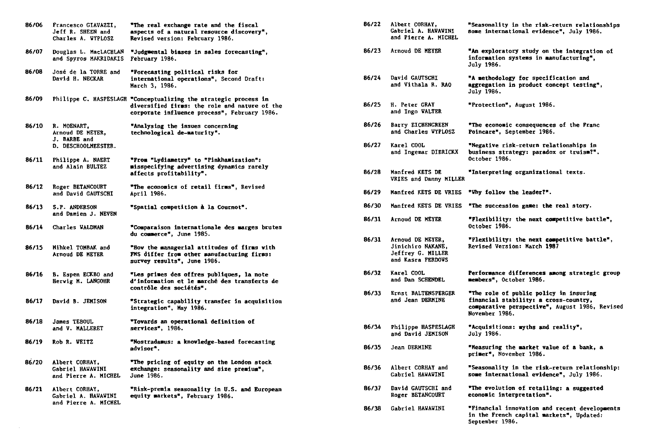| 86/06 | Francesco GIAVAZZI,<br>Jeff R. SHEEN and<br>Charles A. WYPLOSZ         | "The real exchange rate and the fiscal<br>aspects of a natural resource discovery".<br>Revised version: February 1986.                                            |
|-------|------------------------------------------------------------------------|-------------------------------------------------------------------------------------------------------------------------------------------------------------------|
| 86/07 | Douglas L. MacLACHLAN<br>and Spyros MAKRIDAKIS                         | "Judgmental biases in sales forecasting",<br>February 1986.                                                                                                       |
| 86/08 | José de la TORRE and<br>David H. NECKAR                                | "Porecasting political risks for<br>international operations", Second Draft:<br>March 3. 1986.                                                                    |
| 86/09 |                                                                        | Philippe C. HASPESLAGH "Conceptualizing the strategic process in<br>diversified firms: the role and nature of the<br>corporate influence process", February 1986. |
| 86/10 | R. MOENART,<br>Arnoud DE MEYER.<br>J. BARBE and<br>D. DESCHOOLMEESTER. | "Analysing the issues concerning<br>technological de-maturity".                                                                                                   |
| 86/11 | Philippe A. NAERT<br>and Alain BULTEZ                                  | "From "Lydiametry" to "Pinkhamization":<br>misspecifying advertising dynamics rarely<br>affects profitability".                                                   |
| 86/12 | Roger BETANCOURT<br>and David GAUTSCHI                                 | "The economics of retail firms", Revised<br>April 1986.                                                                                                           |
| 86/13 | S.P. ANDERSON<br>and Damien J. NEVEN                                   | "Spatial competition à la Cournot".                                                                                                                               |
| 86/14 | Charles WALDMAN                                                        | "Comparaison internationale des marges brutes<br>du commerce", June 1985.                                                                                         |
| 86/15 | Mihkel TOMBAK and<br>Arnoud DE MEYER                                   | "How the managerial attitudes of firms with<br>PMS differ from other manufacturing firms:<br>survey results", June 1986.                                          |
| 86/16 | B. Espen ECKBO and<br>Herwig M. LANGOHR                                | "Les primes des offres publiques, la note<br>d'information et le marché des transferts de<br>contrôle des sociétés".                                              |
| 86/17 | David B. JEMISON                                                       | "Strategic capability transfer in acquisition<br>integration", May 1986.                                                                                          |
| 86/18 | James TEBOUL<br>and V. MALLERET                                        | "Towards an operational definition of<br>services", 1986.                                                                                                         |
| 86/19 | Rob R. WEITZ                                                           | "Nostradamus: a knowledge-based forecasting<br>advisor".                                                                                                          |
| 86/20 | Albert CORHAY,<br>Gabriel HAWAWINI<br>and Pierre A. MICHEL             | "The pricing of equity on the London stock<br>exchange: seasonality and size premium",<br>June 1986.                                                              |
| 86/21 | Albert CORHAY,<br>Gabriel A. HAVAVINI<br>and Pierre A. MICHEL          | "Risk-premia seasonality in U.S. and European<br>equity markets", February 1986.                                                                                  |

| 86/22 | Albert CORHAY,<br>Gabriel A. HAWAWINI<br>and Pierre A. MICHEL                   | "Seasonality in the risk-return relationships<br>some international evidence", July 1986.                                                           |
|-------|---------------------------------------------------------------------------------|-----------------------------------------------------------------------------------------------------------------------------------------------------|
| 86/23 | Arnoud DE MEYER                                                                 | "An exploratory study on the integration of<br>information systems in manufacturing".<br>July 1986.                                                 |
| 86/24 | David GAUTSCHI<br>and Vithala R. RAO                                            | "A methodology for specification and<br>aggregation in product concept testing",<br>July 1986.                                                      |
| 86/25 | H. Peter GRAY<br>and Ingo WALTER                                                | "Protection", August 1986.                                                                                                                          |
| 86/26 | Barry EICHENGREEN<br>and Charles WYPLOSZ                                        | "The economic consequences of the Franc<br>Poincare", September 1986.                                                                               |
| 86/27 | Karel COOL<br>and Ingemar DIERICKX                                              | "Negative risk-return relationships in<br>business strategy: paradox or truism?".<br>October 1986.                                                  |
| 86/28 | Manfred KETS DE<br>VRIES and Danny MILLER                                       | "Interpreting organizational texts.                                                                                                                 |
| 86/29 | Manfred KETS DE VRIES                                                           | "Why follow the leader?".                                                                                                                           |
| 86/30 | Manfred KETS DE VRIES                                                           | "The succession game: the real story.                                                                                                               |
| 86/31 | Arnoud DE MEYER                                                                 | "Plexibility: the next competitive battle",<br>October 1986.                                                                                        |
| 86/31 | Arnoud DE MEYER,<br>Jinichiro NAKANE,<br>Jeffrey G. MILLER<br>and Kasra FERDOWS | "Flexibility: the next competitive battle",<br>Revised Version: March 1987                                                                          |
| 86/32 | Karel COOL<br>and Dan SCHENDEL                                                  | Performance differences among strategic group<br>members", October 1986.                                                                            |
| 86/33 | Ernst BALTENSPERGER<br>and Jean DERMINE                                         | "The role of public policy in insuring<br>financial stability: a cross-country,<br>comparative perspective", August 1986, Revised<br>November 1986. |
| 86/34 | Philippe HASPESLAGH<br>and David JEMISON                                        | "Acquisitions: myths and reality",<br><b>July 1986.</b>                                                                                             |
| 86/35 | Jean DERMINE                                                                    | "Measuring the market value of a bank, a<br>primer", November 1986.                                                                                 |
| 86/36 | <b>Albert CORHAY and</b><br>Gabriel HAWAWINI                                    | "Seasonality in the risk-return relationship:<br>some international evidence", July 1986.                                                           |
| 86/37 | David GAUTSCHI and<br>Roger BETANCOURT                                          | "The evolution of retailing: a suggested<br>economic interpretation".                                                                               |
| 86/38 | Gabriel HAWAWINI                                                                | "Financial innovation and recent developments<br>in the French capital markets", Updated:<br>September 1986.                                        |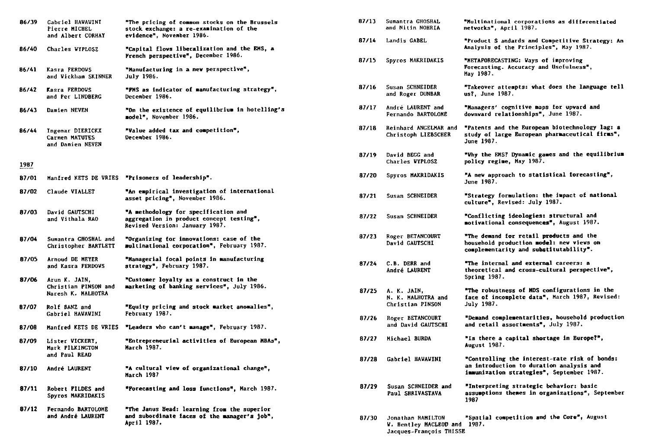| 86/39 | Gabriel HAWAWINT<br>Pierre MICHEL                           | "The pricing of common stocks on the Brussels<br>stock exchange: a re-examination of the                           | 87/13 | Sumantra GHOSHAL<br>and Nitin NOHRIA           |
|-------|-------------------------------------------------------------|--------------------------------------------------------------------------------------------------------------------|-------|------------------------------------------------|
|       | and Albert CORHAY                                           | evidence", November 1986.                                                                                          | 87/14 | Landis GABEL                                   |
| 86/40 | Charles VYPLOSZ                                             | "Capital flows liberalization and the EMS, a<br>French perspective", December 1986.                                | 87/15 | Spyros MAKRIDAKIS                              |
| 86/41 | Kasra FERDOVS<br>and Vickham SKINNER                        | "Manufacturing in a new perspective",<br>July 1986.                                                                |       |                                                |
| 86/42 | Kasra FERDOVS<br>and Per LINDBERG                           | "FMS as indicator of manufacturing strategy",<br>December 1986.                                                    | 87/16 | Susan SCHNEIDER<br>and Roger DUNBAR            |
| 86/43 | Damien NEVEN                                                | "On the existence of equilibrium in hotelling's<br>model", November 1986.                                          | 87/17 | André LAURENT and<br>Fernando BARTOLOME        |
| 86/44 | Ingemar DIERICKX<br>Carmen MATUTES<br>and Damien NEVEN      | "Value added tax and competition",<br>December 1986.                                                               | 87/18 | Reinhard ANGELMAR a<br>Christoph LIEBSCHER     |
| 1987  |                                                             |                                                                                                                    | 87/19 | David BEGG and<br>Charles WYPLOSZ              |
| 87/01 | Manfred KETS DE VRIES                                       | "Prisoners of leadership".                                                                                         | 87/20 | Spyros MAKRIDAKIS                              |
| 87/02 | Claude VIALLET                                              | "An empirical investigation of international<br>asset pricing", November 1986.                                     | 87/21 | Susan SCHNEIDER                                |
| 87/03 | David GAUTSCHI<br>and Vithala RAO                           | "A methodology for specification and<br>aggregation in product concept testing",<br>Revised Version: January 1987. | 87/22 | Susan SCHNEIDER                                |
| 87/04 | Sumantra GHOSHAL and<br>Christopher BARTLETT                | "Organizing for innovations: case of the<br>multinational corporation", February 1987.                             | 87/23 | Roger BETANCOURT<br>David CAUTSCHI             |
| 87/05 | Arnoud DE MEYER<br>and Kasra FERDOVS                        | "Managerial focal points in manufacturing<br>strategy", February 1987.                                             | 87/24 | C.B. DERR and<br>André LAURENT                 |
| 87/06 | Arun K. JAIN,<br>Christian PINSON and<br>Naresh K. MALHOTRA | "Customer loyalty as a construct in the<br>marketing of banking services", July 1986.                              | 87/25 | A. K. JAIN,<br>N. K. MALHOTRA and              |
| 87/07 | Rolf BANZ and<br>Gabriel HAVAVINI                           | "Equity pricing and stock market anomalies",<br>February 1987.                                                     |       | Christian PINSON                               |
| 87/08 |                                                             | Hanfred KETS DE VRIES "Leaders who can't manage", February 1987.                                                   | 87/26 | Roger BETANCOURT<br>and David GAUTSCHI         |
| 87/09 | Lister VICKERY,<br>Mark PILKINGTON<br>and Paul READ         | "Entrepreneurial activities of European MBAs",<br>March 1987.                                                      | 87/27 | Michael BURDA                                  |
| 87/10 | André LAURENT                                               | "A cultural view of organizational change",<br><b>March 1987</b>                                                   | 87/28 | Gabriel HAVAVINI                               |
| 87/11 | Robert FILDES and<br>Spyros MAKRIDAKIS                      | "Porecasting and loss functions", March 1987.                                                                      | 87/29 | Susan SCHNEIDER and<br>Paul SHRIVASTAVA        |
| 87/12 | Fernando BARTOLOME<br>and André LAURENT                     | "The Janus Head: learning from the superior<br>and subordinate faces of the manager's job",<br>April 1987.         | 87/30 | Jonathan HAMILTON<br><b>W. Bentley MACLEOD</b> |

| 87/13 | Sumantra GHOSHAL<br>and Nitin NOHRIA                                         | "Multinational corporations as differentiated<br>networks", April 1987.                                                                |
|-------|------------------------------------------------------------------------------|----------------------------------------------------------------------------------------------------------------------------------------|
| 87/14 | Landis GABEL                                                                 | "Product S andards and Competitive Strategy: An<br>Analysis of the Principles", May 1987.                                              |
| 87/15 | Spyros MAKRIDAKIS                                                            | "METAPORECASTING: Vays of improving<br>Forecasting. Accuracy and Usefulness",<br>May 1987.                                             |
| 87/16 | Susan SCHNEIDER<br>and Roger DUNBAR                                          | "Takeover attempts: what does the language tell<br>us?, June 1987.                                                                     |
| 87/17 | André LAURENT and<br>Fernando BARTOLOME                                      | "Managers' cognitive maps for upward and<br>downward relationships", June 1987.                                                        |
| 87/18 | Reinhard ANGELMAR and<br>Christoph LIEBSCHER                                 | "Patents and the European biotechnology lag: a<br>study of large European pharmaceutical firms",<br>June 1987.                         |
| 87/19 | David BEGG and<br>Charles WYPLOSZ                                            | "Why the EMS? Dynamic games and the equilibrium<br>policy regime, May 1987.                                                            |
| 87/20 | <b>Spyros MAKRIDAKIS</b>                                                     | "A new approach to statistical forecasting",<br>June 1987.                                                                             |
| 87/21 | Susan SCHNEIDER                                                              | "Strategy formulation: the impact of national<br>culture", Revised: July 1987.                                                         |
| 87/22 | Susan SCHNEIDER                                                              | "Conflicting ideologies: structural and<br>motivational consequences", August 1987.                                                    |
| 87/23 | Roger BETANCOURT<br>David GAUTSCHI                                           | "The demand for retail products and the<br>household production model: new views on<br>complementarity and substitutability".          |
| 87/24 | C.B. DERR and<br>André LAURENT                                               | "The internal and external careers: a<br>theoretical and cross-cultural perspective",<br>Spring 1987.                                  |
| 87/25 | A. K. JAIN,<br>N. K. MALHOTRA and<br>Christian PINSON                        | "The robustness of MDS configurations in the<br>face of incomplete data", March 1987, Revised:<br><b>July 1987.</b>                    |
| 87/26 | Roger BETANCOURT<br>and David GAUTSCHI                                       | "Demand complementarities, household production<br>and retail assortments". July 1987. .                                               |
| 87/27 | Michael BURDA                                                                | "Is there a capital shortage in Europe?",<br><b>August 1987.</b>                                                                       |
| 87/28 | Gabriel HAVAVINI                                                             | "Controlling the interest-rate risk of bonds:<br>an introduction to duration analysis and<br>immunization strategies", September 1987. |
| 87/29 | Susan SCHNEIDER and<br><b>Paul SHRIVASTAVA</b>                               | "Interpreting strategic behavior: basic<br>assumptions themes in organizations", September<br>1987                                     |
| 87/30 | Jonathan HAMILTON<br>W. Bentley MACLEOD and 1987.<br>Jacques-François THISSE | "Spatial competition and the Core", August                                                                                             |
|       |                                                                              |                                                                                                                                        |